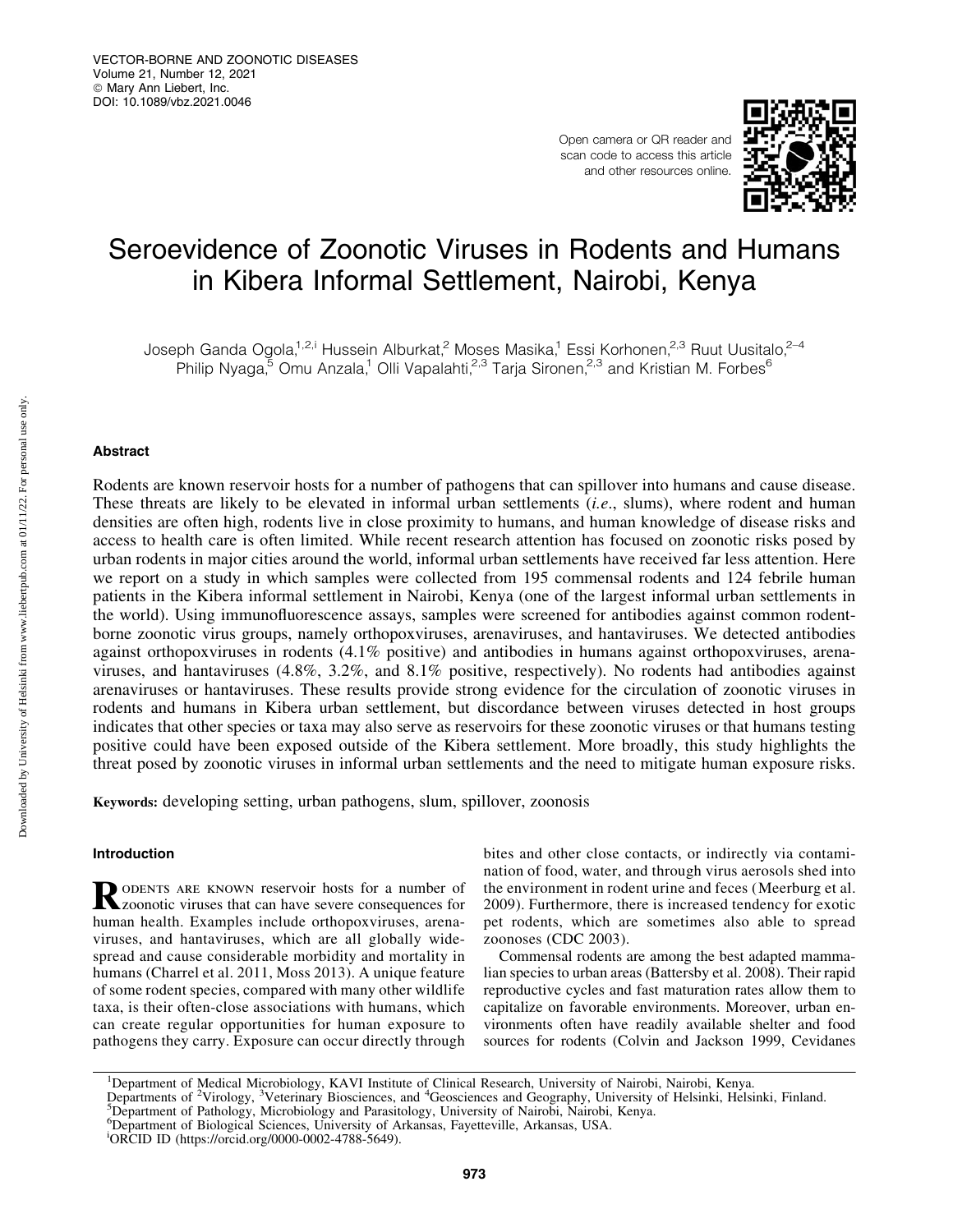Open camera or QR reader and scan code to access this article and other resources online.



# Seroevidence of Zoonotic Viruses in Rodents and Humans in Kibera Informal Settlement, Nairobi, Kenya

Joseph Ganda Ogola,<sup>1,2,i</sup> Hussein Alburkat,<sup>2</sup> Moses Masika,<sup>1</sup> Essi Korhonen,<sup>2,3</sup> Ruut Uusitalo,<sup>2–4</sup> Philip Nyaga, $^5$  Omu Anzala,<sup>1</sup> Olli Vapalahti,<sup>2,3</sup> Tarja Sironen,<sup>2,3</sup> and Kristian M. Forbes<sup>6</sup>

# Abstract

Rodents are known reservoir hosts for a number of pathogens that can spillover into humans and cause disease. These threats are likely to be elevated in informal urban settlements (*i.e*., slums), where rodent and human densities are often high, rodents live in close proximity to humans, and human knowledge of disease risks and access to health care is often limited. While recent research attention has focused on zoonotic risks posed by urban rodents in major cities around the world, informal urban settlements have received far less attention. Here we report on a study in which samples were collected from 195 commensal rodents and 124 febrile human patients in the Kibera informal settlement in Nairobi, Kenya (one of the largest informal urban settlements in the world). Using immunofluorescence assays, samples were screened for antibodies against common rodentborne zoonotic virus groups, namely orthopoxviruses, arenaviruses, and hantaviruses. We detected antibodies against orthopoxviruses in rodents (4.1% positive) and antibodies in humans against orthopoxviruses, arenaviruses, and hantaviruses (4.8%, 3.2%, and 8.1% positive, respectively). No rodents had antibodies against arenaviruses or hantaviruses. These results provide strong evidence for the circulation of zoonotic viruses in rodents and humans in Kibera urban settlement, but discordance between viruses detected in host groups indicates that other species or taxa may also serve as reservoirs for these zoonotic viruses or that humans testing positive could have been exposed outside of the Kibera settlement. More broadly, this study highlights the threat posed by zoonotic viruses in informal urban settlements and the need to mitigate human exposure risks.

Keywords: developing setting, urban pathogens, slum, spillover, zoonosis

# Introduction

RODENTS ARE KNOWN reservoir hosts for a number of Zzoonotic viruses that can have severe consequences for human health. Examples include orthopoxviruses, arenaviruses, and hantaviruses, which are all globally widespread and cause considerable morbidity and mortality in humans (Charrel et al. 2011, Moss 2013). A unique feature of some rodent species, compared with many other wildlife taxa, is their often-close associations with humans, which can create regular opportunities for human exposure to pathogens they carry. Exposure can occur directly through bites and other close contacts, or indirectly via contamination of food, water, and through virus aerosols shed into the environment in rodent urine and feces (Meerburg et al. 2009). Furthermore, there is increased tendency for exotic pet rodents, which are sometimes also able to spread zoonoses (CDC 2003).

Commensal rodents are among the best adapted mammalian species to urban areas (Battersby et al. 2008). Their rapid reproductive cycles and fast maturation rates allow them to capitalize on favorable environments. Moreover, urban environments often have readily available shelter and food sources for rodents (Colvin and Jackson 1999, Cevidanes

Departments of <sup>2</sup>Virology, <sup>3</sup>Veterinary Biosciences, and <sup>4</sup>Geosciences and Geography, University of Helsinki, Helsinki, Finland.<br><sup>5</sup>Department of Pathology, Microbiology and Parasitology, University of Nairobi, Nairobi,

<sup>6</sup>Department of Biological Sciences, University of Arkansas, Fayetteville, Arkansas, USA.

<sup>&</sup>lt;sup>1</sup>Department of Medical Microbiology, KAVI Institute of Clinical Research, University of Nairobi, Nairobi, Kenya.

i ORCID ID (<https://orcid.org/0000-0002-4788-5649>).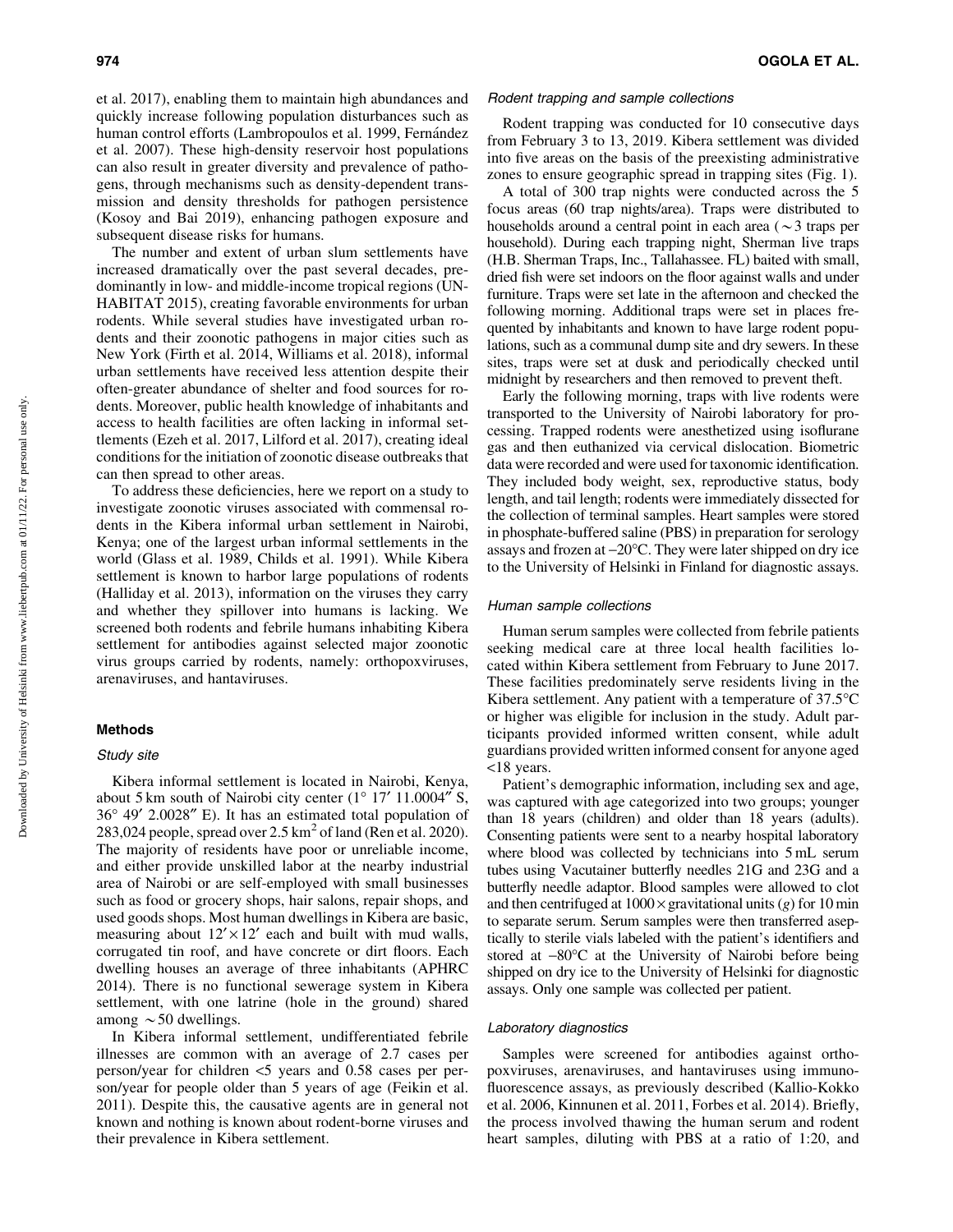et al. 2017), enabling them to maintain high abundances and quickly increase following population disturbances such as human control efforts (Lambropoulos et al. 1999, Fernández et al. 2007). These high-density reservoir host populations can also result in greater diversity and prevalence of pathogens, through mechanisms such as density-dependent transmission and density thresholds for pathogen persistence (Kosoy and Bai 2019), enhancing pathogen exposure and subsequent disease risks for humans.

The number and extent of urban slum settlements have increased dramatically over the past several decades, predominantly in low- and middle-income tropical regions (UN-HABITAT 2015), creating favorable environments for urban rodents. While several studies have investigated urban rodents and their zoonotic pathogens in major cities such as New York (Firth et al. 2014, Williams et al. 2018), informal urban settlements have received less attention despite their often-greater abundance of shelter and food sources for rodents. Moreover, public health knowledge of inhabitants and access to health facilities are often lacking in informal settlements (Ezeh et al. 2017, Lilford et al. 2017), creating ideal conditions for the initiation of zoonotic disease outbreaks that can then spread to other areas.

To address these deficiencies, here we report on a study to investigate zoonotic viruses associated with commensal rodents in the Kibera informal urban settlement in Nairobi, Kenya; one of the largest urban informal settlements in the world (Glass et al. 1989, Childs et al. 1991). While Kibera settlement is known to harbor large populations of rodents (Halliday et al. 2013), information on the viruses they carry and whether they spillover into humans is lacking. We screened both rodents and febrile humans inhabiting Kibera settlement for antibodies against selected major zoonotic virus groups carried by rodents, namely: orthopoxviruses, arenaviruses, and hantaviruses.

### Methods

# Study site

Kibera informal settlement is located in Nairobi, Kenya, about 5 km south of Nairobi city center  $(1^{\circ} 17' 11.0004'' S,$ 36° 49' 2.0028" E). It has an estimated total population of 283,024 people, spread over  $2.5 \text{ km}^2$  of land (Ren et al. 2020). The majority of residents have poor or unreliable income, and either provide unskilled labor at the nearby industrial area of Nairobi or are self-employed with small businesses such as food or grocery shops, hair salons, repair shops, and used goods shops. Most human dwellings in Kibera are basic, measuring about  $12' \times 12'$  each and built with mud walls, corrugated tin roof, and have concrete or dirt floors. Each dwelling houses an average of three inhabitants (APHRC 2014). There is no functional sewerage system in Kibera settlement, with one latrine (hole in the ground) shared among  $\sim$  50 dwellings.

In Kibera informal settlement, undifferentiated febrile illnesses are common with an average of 2.7 cases per person/year for children <5 years and 0.58 cases per person/year for people older than 5 years of age (Feikin et al. 2011). Despite this, the causative agents are in general not known and nothing is known about rodent-borne viruses and their prevalence in Kibera settlement.

#### Rodent trapping and sample collections

Rodent trapping was conducted for 10 consecutive days from February 3 to 13, 2019. Kibera settlement was divided into five areas on the basis of the preexisting administrative zones to ensure geographic spread in trapping sites (Fig. 1).

A total of 300 trap nights were conducted across the 5 focus areas (60 trap nights/area). Traps were distributed to households around a central point in each area ( $\sim$ 3 traps per household). During each trapping night, Sherman live traps (H.B. Sherman Traps, Inc., Tallahassee. FL) baited with small, dried fish were set indoors on the floor against walls and under furniture. Traps were set late in the afternoon and checked the following morning. Additional traps were set in places frequented by inhabitants and known to have large rodent populations, such as a communal dump site and dry sewers. In these sites, traps were set at dusk and periodically checked until midnight by researchers and then removed to prevent theft.

Early the following morning, traps with live rodents were transported to the University of Nairobi laboratory for processing. Trapped rodents were anesthetized using isoflurane gas and then euthanized via cervical dislocation. Biometric data were recorded and were used for taxonomic identification. They included body weight, sex, reproductive status, body length, and tail length; rodents were immediately dissected for the collection of terminal samples. Heart samples were stored in phosphate-buffered saline (PBS) in preparation for serology assays and frozen at  $-20^{\circ}$ C. They were later shipped on dry ice to the University of Helsinki in Finland for diagnostic assays.

### Human sample collections

Human serum samples were collected from febrile patients seeking medical care at three local health facilities located within Kibera settlement from February to June 2017. These facilities predominately serve residents living in the Kibera settlement. Any patient with a temperature of  $37.5^{\circ}$ C or higher was eligible for inclusion in the study. Adult participants provided informed written consent, while adult guardians provided written informed consent for anyone aged <18 years.

Patient's demographic information, including sex and age, was captured with age categorized into two groups; younger than 18 years (children) and older than 18 years (adults). Consenting patients were sent to a nearby hospital laboratory where blood was collected by technicians into 5 mL serum tubes using Vacutainer butterfly needles 21G and 23G and a butterfly needle adaptor. Blood samples were allowed to clot and then centrifuged at  $1000 \times$  gravitational units (*g*) for 10 min to separate serum. Serum samples were then transferred aseptically to sterile vials labeled with the patient's identifiers and stored at -80°C at the University of Nairobi before being shipped on dry ice to the University of Helsinki for diagnostic assays. Only one sample was collected per patient.

### Laboratory diagnostics

Samples were screened for antibodies against orthopoxviruses, arenaviruses, and hantaviruses using immunofluorescence assays, as previously described (Kallio-Kokko et al. 2006, Kinnunen et al. 2011, Forbes et al. 2014). Briefly, the process involved thawing the human serum and rodent heart samples, diluting with PBS at a ratio of 1:20, and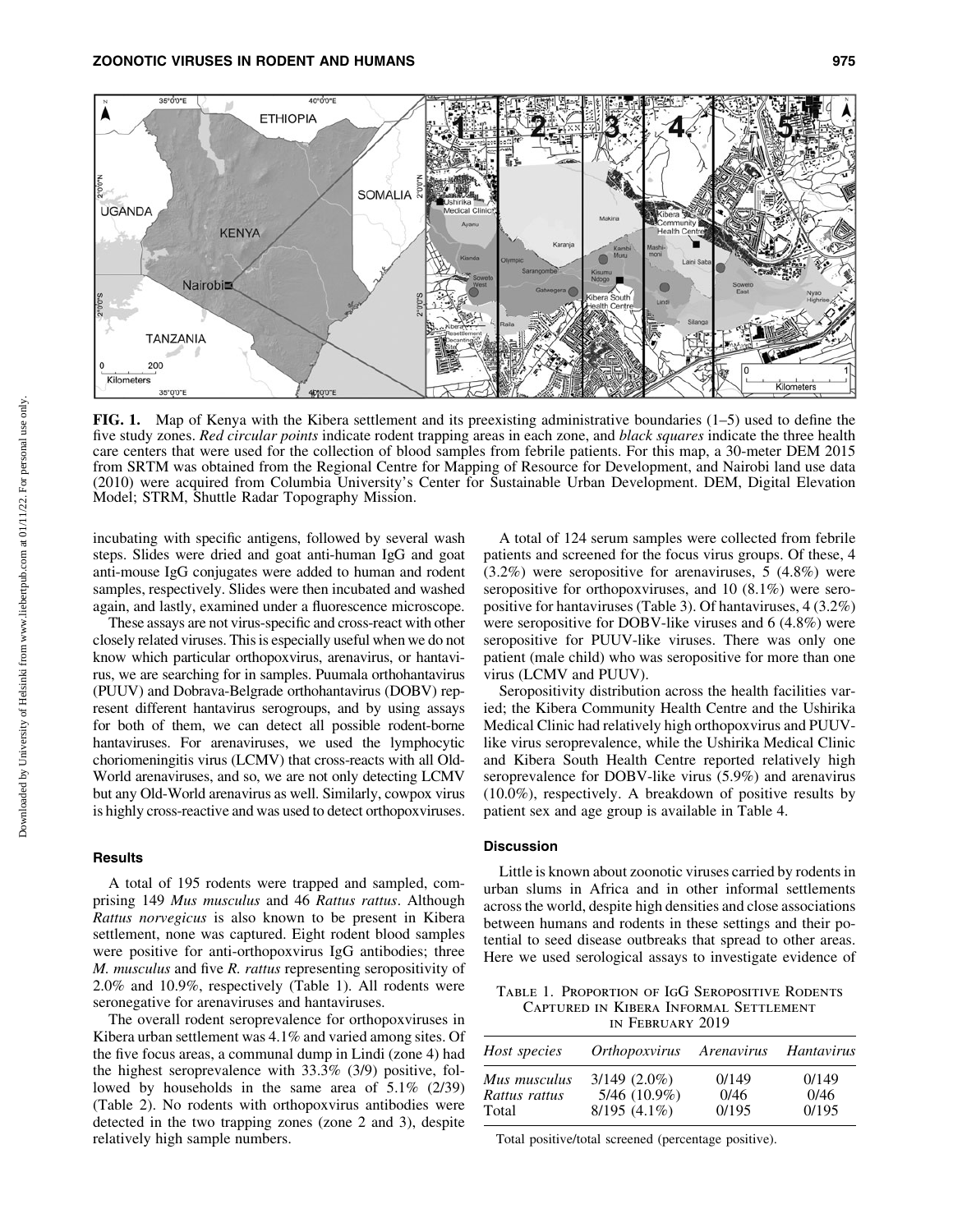

FIG. 1. Map of Kenya with the Kibera settlement and its preexisting administrative boundaries  $(1-5)$  used to define the five study zones. *Red circular points* indicate rodent trapping areas in each zone, and *black squares* indicate the three health care centers that were used for the collection of blood samples from febrile patients. For this map, a 30-meter DEM 2015 from SRTM was obtained from the Regional Centre for Mapping of Resource for Development, and Nairobi land use data (2010) were acquired from Columbia University's Center for Sustainable Urban Development. DEM, Digital Elevation Model; STRM, Shuttle Radar Topography Mission.

incubating with specific antigens, followed by several wash steps. Slides were dried and goat anti-human IgG and goat anti-mouse IgG conjugates were added to human and rodent samples, respectively. Slides were then incubated and washed again, and lastly, examined under a fluorescence microscope.

These assays are not virus-specific and cross-react with other closely related viruses. This is especially useful when we do not know which particular orthopoxvirus, arenavirus, or hantavirus, we are searching for in samples. Puumala orthohantavirus (PUUV) and Dobrava-Belgrade orthohantavirus (DOBV) represent different hantavirus serogroups, and by using assays for both of them, we can detect all possible rodent-borne hantaviruses. For arenaviruses, we used the lymphocytic choriomeningitis virus (LCMV) that cross-reacts with all Old-World arenaviruses, and so, we are not only detecting LCMV but any Old-World arenavirus as well. Similarly, cowpox virus is highly cross-reactive and was used to detect orthopoxviruses.

## Results

A total of 195 rodents were trapped and sampled, comprising 149 *Mus musculus* and 46 *Rattus rattus*. Although *Rattus norvegicus* is also known to be present in Kibera settlement, none was captured. Eight rodent blood samples were positive for anti-orthopoxvirus IgG antibodies; three *M. musculus* and five *R. rattus* representing seropositivity of 2.0% and 10.9%, respectively (Table 1). All rodents were seronegative for arenaviruses and hantaviruses.

The overall rodent seroprevalence for orthopoxviruses in Kibera urban settlement was 4.1% and varied among sites. Of the five focus areas, a communal dump in Lindi (zone 4) had the highest seroprevalence with 33.3% (3/9) positive, followed by households in the same area of 5.1% (2/39) (Table 2). No rodents with orthopoxvirus antibodies were detected in the two trapping zones (zone 2 and 3), despite relatively high sample numbers.

A total of 124 serum samples were collected from febrile patients and screened for the focus virus groups. Of these, 4 (3.2%) were seropositive for arenaviruses, 5 (4.8%) were seropositive for orthopoxviruses, and 10 (8.1%) were seropositive for hantaviruses (Table 3). Of hantaviruses, 4 (3.2%) were seropositive for DOBV-like viruses and 6 (4.8%) were seropositive for PUUV-like viruses. There was only one patient (male child) who was seropositive for more than one virus (LCMV and PUUV).

Seropositivity distribution across the health facilities varied; the Kibera Community Health Centre and the Ushirika Medical Clinic had relatively high orthopoxvirus and PUUVlike virus seroprevalence, while the Ushirika Medical Clinic and Kibera South Health Centre reported relatively high seroprevalence for DOBV-like virus (5.9%) and arenavirus (10.0%), respectively. A breakdown of positive results by patient sex and age group is available in Table 4.

# **Discussion**

Little is known about zoonotic viruses carried by rodents in urban slums in Africa and in other informal settlements across the world, despite high densities and close associations between humans and rodents in these settings and their potential to seed disease outbreaks that spread to other areas. Here we used serological assays to investigate evidence of

Table 1. Proportion of IgG Seropositive Rodents Captured in Kibera Informal Settlement in February 2019

| Host species  | <i>Orthopoxvirus</i> | Arenavirus | Hantavirus |  |
|---------------|----------------------|------------|------------|--|
| Mus musculus  | $3/149$ $(2.0\%)$    | 0/149      | 0/149      |  |
| Rattus rattus | $5/46$ (10.9%)       | 0/46       | 0/46       |  |
| Total         | $8/195(4.1\%)$       | 0/195      | 0/195      |  |

Total positive/total screened (percentage positive).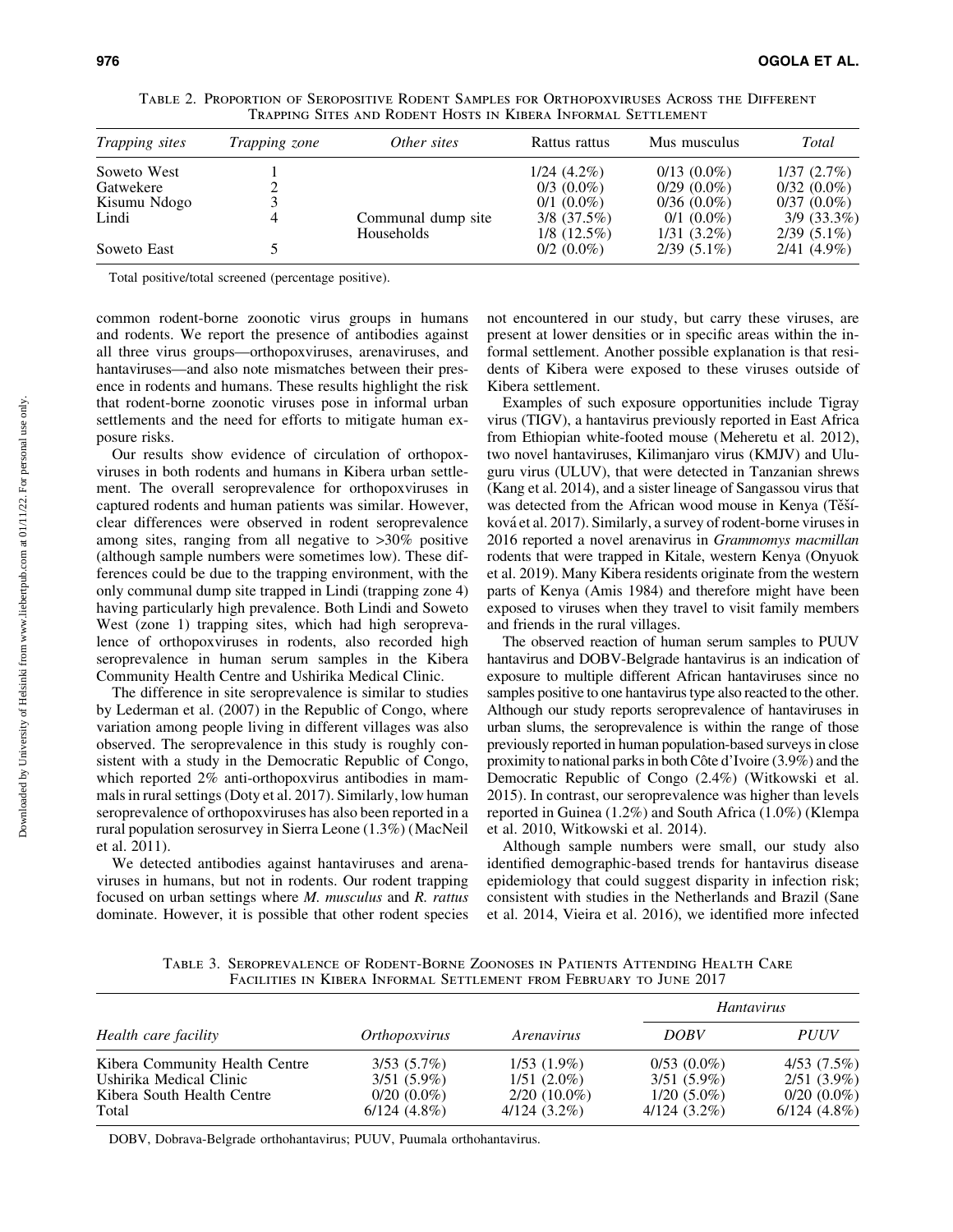| <i>Trapping sites</i> | Trapping zone | Other sites                      | Rattus rattus                     | Mus musculus                  | Total                             |
|-----------------------|---------------|----------------------------------|-----------------------------------|-------------------------------|-----------------------------------|
| Soweto West           |               |                                  | $1/24(4.2\%)$                     | $0/13$ $(0.0\%)$              | 1/37(2.7%)                        |
| Gatwekere             |               |                                  | $0/3$ $(0.0\%)$                   | $0/29(0.0\%)$                 | $0/32(0.0\%)$                     |
| Kisumu Ndogo          |               |                                  | $0/1$ $(0.0\%)$                   | $0/36(0.0\%)$                 | $0/37(0.0\%)$                     |
| Lindi                 |               | Communal dump site<br>Households | $3/8$ $(37.5\%)$<br>$1/8$ (12.5%) | $0/1$ (0.0%)<br>$1/31(3.2\%)$ | $3/9$ $(33.3\%)$<br>$2/39(5.1\%)$ |
| Soweto East           |               |                                  | $0/2$ $(0.0\%)$                   | $2/39(5.1\%)$                 | $2/41(4.9\%)$                     |

Table 2. Proportion of Seropositive Rodent Samples for Orthopoxviruses Across the Different Trapping Sites and Rodent Hosts in Kibera Informal Settlement

Total positive/total screened (percentage positive).

common rodent-borne zoonotic virus groups in humans and rodents. We report the presence of antibodies against all three virus groups—orthopoxviruses, arenaviruses, and hantaviruses—and also note mismatches between their presence in rodents and humans. These results highlight the risk that rodent-borne zoonotic viruses pose in informal urban settlements and the need for efforts to mitigate human exposure risks.

Our results show evidence of circulation of orthopoxviruses in both rodents and humans in Kibera urban settlement. The overall seroprevalence for orthopoxviruses in captured rodents and human patients was similar. However, clear differences were observed in rodent seroprevalence among sites, ranging from all negative to >30% positive (although sample numbers were sometimes low). These differences could be due to the trapping environment, with the only communal dump site trapped in Lindi (trapping zone 4) having particularly high prevalence. Both Lindi and Soweto West (zone 1) trapping sites, which had high seroprevalence of orthopoxviruses in rodents, also recorded high seroprevalence in human serum samples in the Kibera Community Health Centre and Ushirika Medical Clinic.

The difference in site seroprevalence is similar to studies by Lederman et al. (2007) in the Republic of Congo, where variation among people living in different villages was also observed. The seroprevalence in this study is roughly consistent with a study in the Democratic Republic of Congo, which reported 2% anti-orthopoxvirus antibodies in mammals in rural settings (Doty et al. 2017). Similarly, low human seroprevalence of orthopoxviruses has also been reported in a rural population serosurvey in Sierra Leone (1.3%) (MacNeil et al. 2011).

We detected antibodies against hantaviruses and arenaviruses in humans, but not in rodents. Our rodent trapping focused on urban settings where *M. musculus* and *R. rattus* dominate. However, it is possible that other rodent species not encountered in our study, but carry these viruses, are present at lower densities or in specific areas within the informal settlement. Another possible explanation is that residents of Kibera were exposed to these viruses outside of Kibera settlement.

Examples of such exposure opportunities include Tigray virus (TIGV), a hantavirus previously reported in East Africa from Ethiopian white-footed mouse (Meheretu et al. 2012), two novel hantaviruses, Kilimanjaro virus (KMJV) and Uluguru virus (ULUV), that were detected in Tanzanian shrews (Kang et al. 2014), and a sister lineage of Sangassou virus that was detected from the African wood mouse in Kenya (Těšíková et al. 2017). Similarly, a survey of rodent-borne viruses in 2016 reported a novel arenavirus in *Grammomys macmillan* rodents that were trapped in Kitale, western Kenya (Onyuok et al. 2019). Many Kibera residents originate from the western parts of Kenya (Amis 1984) and therefore might have been exposed to viruses when they travel to visit family members and friends in the rural villages.

The observed reaction of human serum samples to PUUV hantavirus and DOBV-Belgrade hantavirus is an indication of exposure to multiple different African hantaviruses since no samples positive to one hantavirus type also reacted to the other. Although our study reports seroprevalence of hantaviruses in urban slums, the seroprevalence is within the range of those previously reported in human population-based surveys in close proximity to national parks in both Côte d'Ivoire (3.9%) and the Democratic Republic of Congo (2.4%) (Witkowski et al. 2015). In contrast, our seroprevalence was higher than levels reported in Guinea (1.2%) and South Africa (1.0%) (Klempa et al. 2010, Witkowski et al. 2014).

Although sample numbers were small, our study also identified demographic-based trends for hantavirus disease epidemiology that could suggest disparity in infection risk; consistent with studies in the Netherlands and Brazil (Sane et al. 2014, Vieira et al. 2016), we identified more infected

Table 3. Seroprevalence of Rodent-Borne Zoonoses in Patients Attending Health Care Facilities in Kibera Informal Settlement from February to June 2017

|                                |                      |                | <i>Hantavirus</i> |                 |  |
|--------------------------------|----------------------|----------------|-------------------|-----------------|--|
| Health care facility           | <i>Orthopoxvirus</i> | Arenavirus     | <b>DOBV</b>       | <i>PUUV</i>     |  |
| Kibera Community Health Centre | 3/53(5.7%)           | $1/53(1.9\%)$  | $0/53(0.0\%)$     | $4/53$ $(7.5%)$ |  |
| Ushirika Medical Clinic        | $3/51(5.9\%)$        | $1/51(2.0\%)$  | $3/51(5.9\%)$     | $2/51(3.9\%)$   |  |
| Kibera South Health Centre     | $0/20$ $(0.0\%)$     | $2/20$ (10.0%) | $1/20(5.0\%)$     | $0/20(0.0\%)$   |  |
| Total                          | $6/124(4.8\%)$       | $4/124(3.2\%)$ | $4/124(3.2\%)$    | $6/124(4.8\%)$  |  |

DOBV, Dobrava-Belgrade orthohantavirus; PUUV, Puumala orthohantavirus.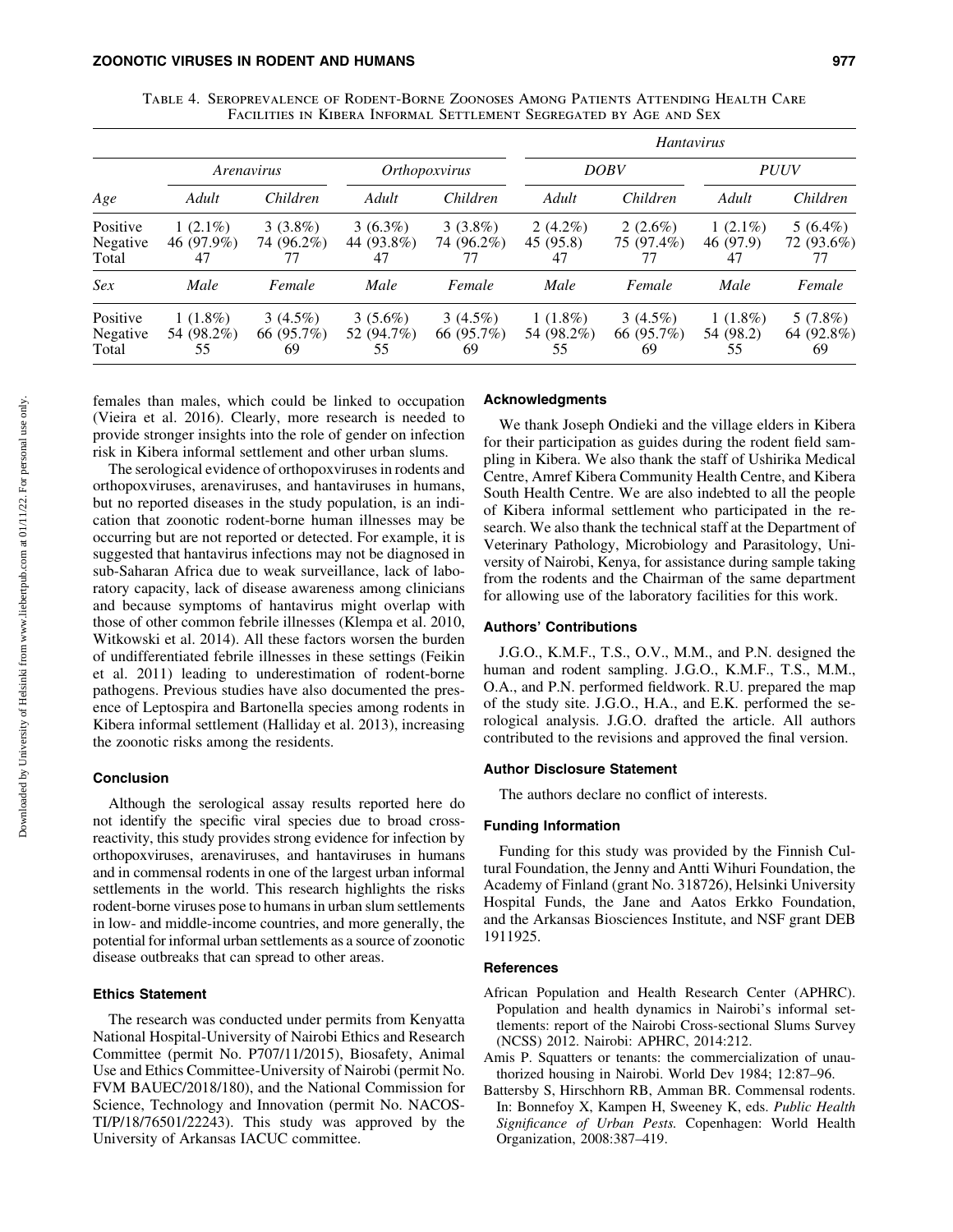| TABLE 4. SEROPREVALENCE OF RODENT-BORNE ZOONOSES AMONG PATIENTS ATTENDING HEALTH CARE |
|---------------------------------------------------------------------------------------|
| FACILITIES IN KIBERA INFORMAL SETTLEMENT SEGREGATED BY AGE AND SEX                    |

|                               |                                |                                |                                |                                | <i>Hantavirus</i>              |                                |                               |                                |
|-------------------------------|--------------------------------|--------------------------------|--------------------------------|--------------------------------|--------------------------------|--------------------------------|-------------------------------|--------------------------------|
|                               | Arenavirus                     |                                | Orthopoxvirus                  |                                | <b>DOBV</b>                    |                                | <b>PUUV</b>                   |                                |
| Age                           | Adult                          | Children                       | Adult                          | Children                       | Adult                          | Children                       | Adult                         | Children                       |
| Positive<br>Negative<br>Total | $1(2.1\%)$<br>46 (97.9%)<br>47 | $3(3.8\%)$<br>74 (96.2%)       | $3(6.3\%)$<br>44 (93.8%)<br>47 | $3(3.8\%)$<br>74 (96.2%)       | $2(4.2\%)$<br>45 (95.8)<br>47  | $2(2.6\%)$<br>75 (97.4%)<br>77 | $1(2.1\%)$<br>46 (97.9)<br>47 | $5(6.4\%)$<br>72 (93.6%)<br>77 |
| Sex                           | Male                           | Female                         | Male                           | Female                         | Male                           | Female                         | Male                          | Female                         |
| Positive<br>Negative<br>Total | $1(1.8\%)$<br>54 (98.2%)<br>55 | $3(4.5\%)$<br>66 (95.7%)<br>69 | $3(5.6\%)$<br>52 (94.7%)<br>55 | $3(4.5\%)$<br>66 (95.7%)<br>69 | $1(1.8\%)$<br>54 (98.2%)<br>55 | $3(4.5\%)$<br>66 (95.7%)<br>69 | $1(1.8\%)$<br>54 (98.2)<br>55 | 5(7.8%)<br>64 (92.8%)<br>69    |

females than males, which could be linked to occupation (Vieira et al. 2016). Clearly, more research is needed to provide stronger insights into the role of gender on infection risk in Kibera informal settlement and other urban slums.

The serological evidence of orthopoxviruses in rodents and orthopoxviruses, arenaviruses, and hantaviruses in humans, but no reported diseases in the study population, is an indication that zoonotic rodent-borne human illnesses may be occurring but are not reported or detected. For example, it is suggested that hantavirus infections may not be diagnosed in sub-Saharan Africa due to weak surveillance, lack of laboratory capacity, lack of disease awareness among clinicians and because symptoms of hantavirus might overlap with those of other common febrile illnesses (Klempa et al. 2010, Witkowski et al. 2014). All these factors worsen the burden of undifferentiated febrile illnesses in these settings (Feikin et al. 2011) leading to underestimation of rodent-borne pathogens. Previous studies have also documented the presence of Leptospira and Bartonella species among rodents in Kibera informal settlement (Halliday et al. 2013), increasing the zoonotic risks among the residents.

# **Conclusion**

Although the serological assay results reported here do not identify the specific viral species due to broad crossreactivity, this study provides strong evidence for infection by orthopoxviruses, arenaviruses, and hantaviruses in humans and in commensal rodents in one of the largest urban informal settlements in the world. This research highlights the risks rodent-borne viruses pose to humans in urban slum settlements in low- and middle-income countries, and more generally, the potential for informal urban settlements as a source of zoonotic disease outbreaks that can spread to other areas.

# Ethics Statement

The research was conducted under permits from Kenyatta National Hospital-University of Nairobi Ethics and Research Committee (permit No. P707/11/2015), Biosafety, Animal Use and Ethics Committee-University of Nairobi (permit No. FVM BAUEC/2018/180), and the National Commission for Science, Technology and Innovation (permit No. NACOS-TI/P/18/76501/22243). This study was approved by the University of Arkansas IACUC committee.

## Acknowledgments

We thank Joseph Ondieki and the village elders in Kibera for their participation as guides during the rodent field sampling in Kibera. We also thank the staff of Ushirika Medical Centre, Amref Kibera Community Health Centre, and Kibera South Health Centre. We are also indebted to all the people of Kibera informal settlement who participated in the research. We also thank the technical staff at the Department of Veterinary Pathology, Microbiology and Parasitology, University of Nairobi, Kenya, for assistance during sample taking from the rodents and the Chairman of the same department for allowing use of the laboratory facilities for this work.

### Authors' Contributions

J.G.O., K.M.F., T.S., O.V., M.M., and P.N. designed the human and rodent sampling. J.G.O., K.M.F., T.S., M.M., O.A., and P.N. performed fieldwork. R.U. prepared the map of the study site. J.G.O., H.A., and E.K. performed the serological analysis. J.G.O. drafted the article. All authors contributed to the revisions and approved the final version.

## Author Disclosure Statement

The authors declare no conflict of interests.

## Funding Information

Funding for this study was provided by the Finnish Cultural Foundation, the Jenny and Antti Wihuri Foundation, the Academy of Finland (grant No. 318726), Helsinki University Hospital Funds, the Jane and Aatos Erkko Foundation, and the Arkansas Biosciences Institute, and NSF grant DEB 1911925.

## References

- African Population and Health Research Center (APHRC). Population and health dynamics in Nairobi's informal settlements: report of the Nairobi Cross-sectional Slums Survey (NCSS) 2012. Nairobi: APHRC, 2014:212.
- Amis P. Squatters or tenants: the commercialization of unauthorized housing in Nairobi. World Dev 1984; 12:87–96.
- Battersby S, Hirschhorn RB, Amman BR. Commensal rodents. In: Bonnefoy X, Kampen H, Sweeney K, eds. *Public Health Significance of Urban Pests.* Copenhagen: World Health Organization, 2008:387–419.